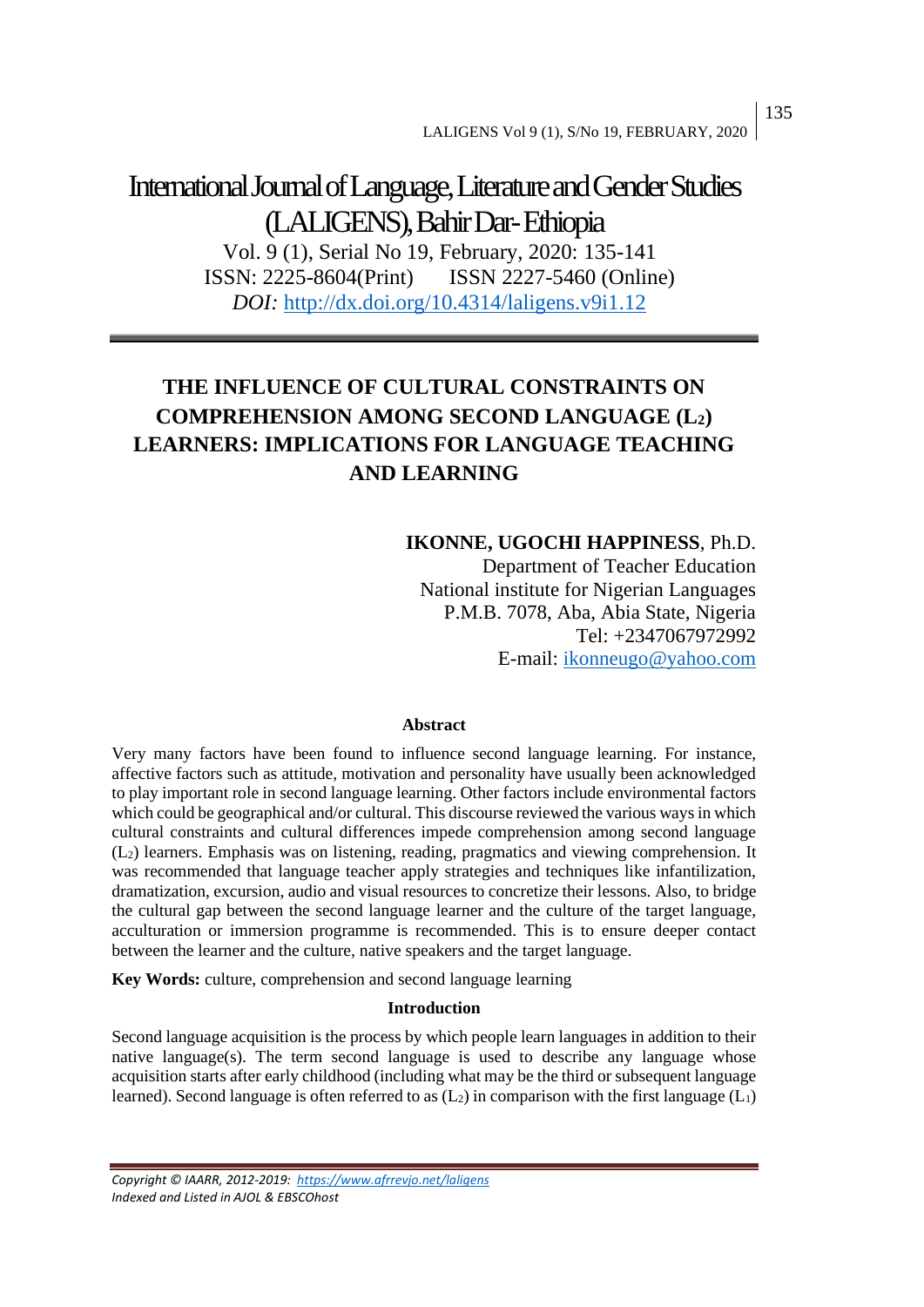# International Journal of Language, Literature and Gender Studies (LALIGENS), Bahir Dar-Ethiopia

Vol. 9 (1), Serial No 19, February, 2020: 135-141 ISSN: 2225-8604(Print) ISSN 2227-5460 (Online) *DOI:* <http://dx.doi.org/10.4314/laligens.v9i1.12>

## **THE INFLUENCE OF CULTURAL CONSTRAINTS ON COMPREHENSION AMONG SECOND LANGUAGE (L2) LEARNERS: IMPLICATIONS FOR LANGUAGE TEACHING AND LEARNING**

## **IKONNE, UGOCHI HAPPINESS**, Ph.D.

Department of Teacher Education National institute for Nigerian Languages P.M.B. 7078, Aba, Abia State, Nigeria Tel: +2347067972992 E-mail: [ikonneugo@yahoo.com](mailto:ikonneugo@yahoo.com)

#### **Abstract**

Very many factors have been found to influence second language learning. For instance, affective factors such as attitude, motivation and personality have usually been acknowledged to play important role in second language learning. Other factors include environmental factors which could be geographical and/or cultural. This discourse reviewed the various ways in which cultural constraints and cultural differences impede comprehension among second language (L2) learners. Emphasis was on listening, reading, pragmatics and viewing comprehension. It was recommended that language teacher apply strategies and techniques like infantilization, dramatization, excursion, audio and visual resources to concretize their lessons. Also, to bridge the cultural gap between the second language learner and the culture of the target language, acculturation or immersion programme is recommended. This is to ensure deeper contact between the learner and the culture, native speakers and the target language.

**Key Words:** culture, comprehension and second language learning

#### **Introduction**

Second language acquisition is the process by which people learn languages in addition to their native language(s). The term second language is used to describe any language whose acquisition starts after early childhood (including what may be the third or subsequent language learned). Second language is often referred to as  $(L_2)$  in comparison with the first language  $(L_1)$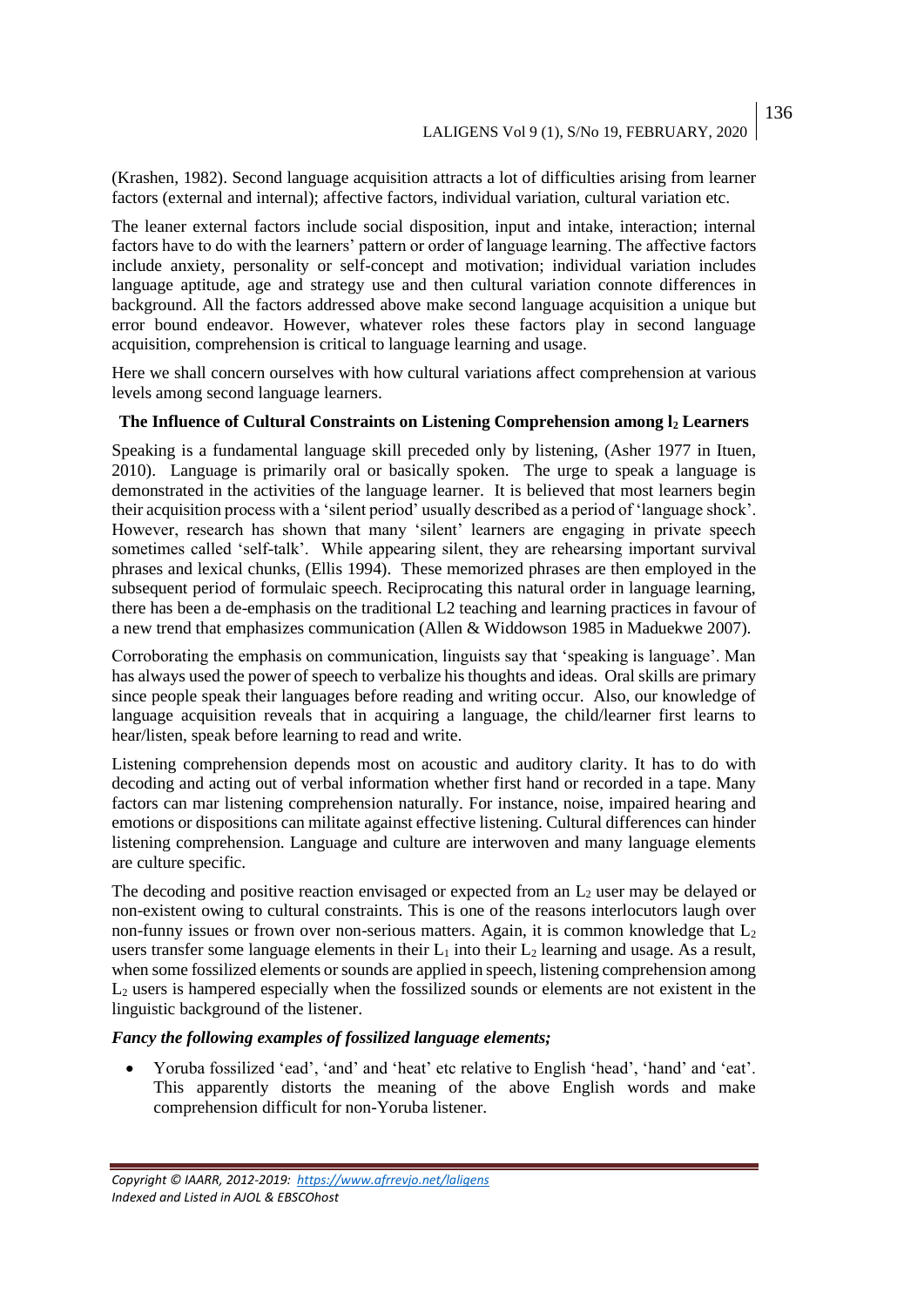(Krashen, 1982). Second language acquisition attracts a lot of difficulties arising from learner factors (external and internal); affective factors, individual variation, cultural variation etc.

The leaner external factors include social disposition, input and intake, interaction; internal factors have to do with the learners' pattern or order of language learning. The affective factors include anxiety, personality or self-concept and motivation; individual variation includes language aptitude, age and strategy use and then cultural variation connote differences in background. All the factors addressed above make second language acquisition a unique but error bound endeavor. However, whatever roles these factors play in second language acquisition, comprehension is critical to language learning and usage.

Here we shall concern ourselves with how cultural variations affect comprehension at various levels among second language learners.

#### **The Influence of Cultural Constraints on Listening Comprehension among l<sup>2</sup> Learners**

Speaking is a fundamental language skill preceded only by listening, (Asher 1977 in Ituen, 2010). Language is primarily oral or basically spoken. The urge to speak a language is demonstrated in the activities of the language learner. It is believed that most learners begin their acquisition process with a 'silent period' usually described as a period of 'language shock'. However, research has shown that many 'silent' learners are engaging in private speech sometimes called 'self-talk'. While appearing silent, they are rehearsing important survival phrases and lexical chunks, (Ellis 1994). These memorized phrases are then employed in the subsequent period of formulaic speech. Reciprocating this natural order in language learning, there has been a de-emphasis on the traditional L2 teaching and learning practices in favour of a new trend that emphasizes communication (Allen & Widdowson 1985 in Maduekwe 2007).

Corroborating the emphasis on communication, linguists say that 'speaking is language'. Man has always used the power of speech to verbalize his thoughts and ideas. Oral skills are primary since people speak their languages before reading and writing occur. Also, our knowledge of language acquisition reveals that in acquiring a language, the child/learner first learns to hear/listen, speak before learning to read and write.

Listening comprehension depends most on acoustic and auditory clarity. It has to do with decoding and acting out of verbal information whether first hand or recorded in a tape. Many factors can mar listening comprehension naturally. For instance, noise, impaired hearing and emotions or dispositions can militate against effective listening. Cultural differences can hinder listening comprehension. Language and culture are interwoven and many language elements are culture specific.

The decoding and positive reaction envisaged or expected from an  $L_2$  user may be delayed or non-existent owing to cultural constraints. This is one of the reasons interlocutors laugh over non-funny issues or frown over non-serious matters. Again, it is common knowledge that  $L_2$ users transfer some language elements in their  $L_1$  into their  $L_2$  learning and usage. As a result, when some fossilized elements or sounds are applied in speech, listening comprehension among  $L<sub>2</sub>$  users is hampered especially when the fossilized sounds or elements are not existent in the linguistic background of the listener.

#### *Fancy the following examples of fossilized language elements;*

• Yoruba fossilized 'ead', 'and' and 'heat' etc relative to English 'head', 'hand' and 'eat'. This apparently distorts the meaning of the above English words and make comprehension difficult for non-Yoruba listener.

*Copyright © IAARR, 2012-2019: <https://www.afrrevjo.net/laligens> Indexed and Listed in AJOL & EBSCOhost*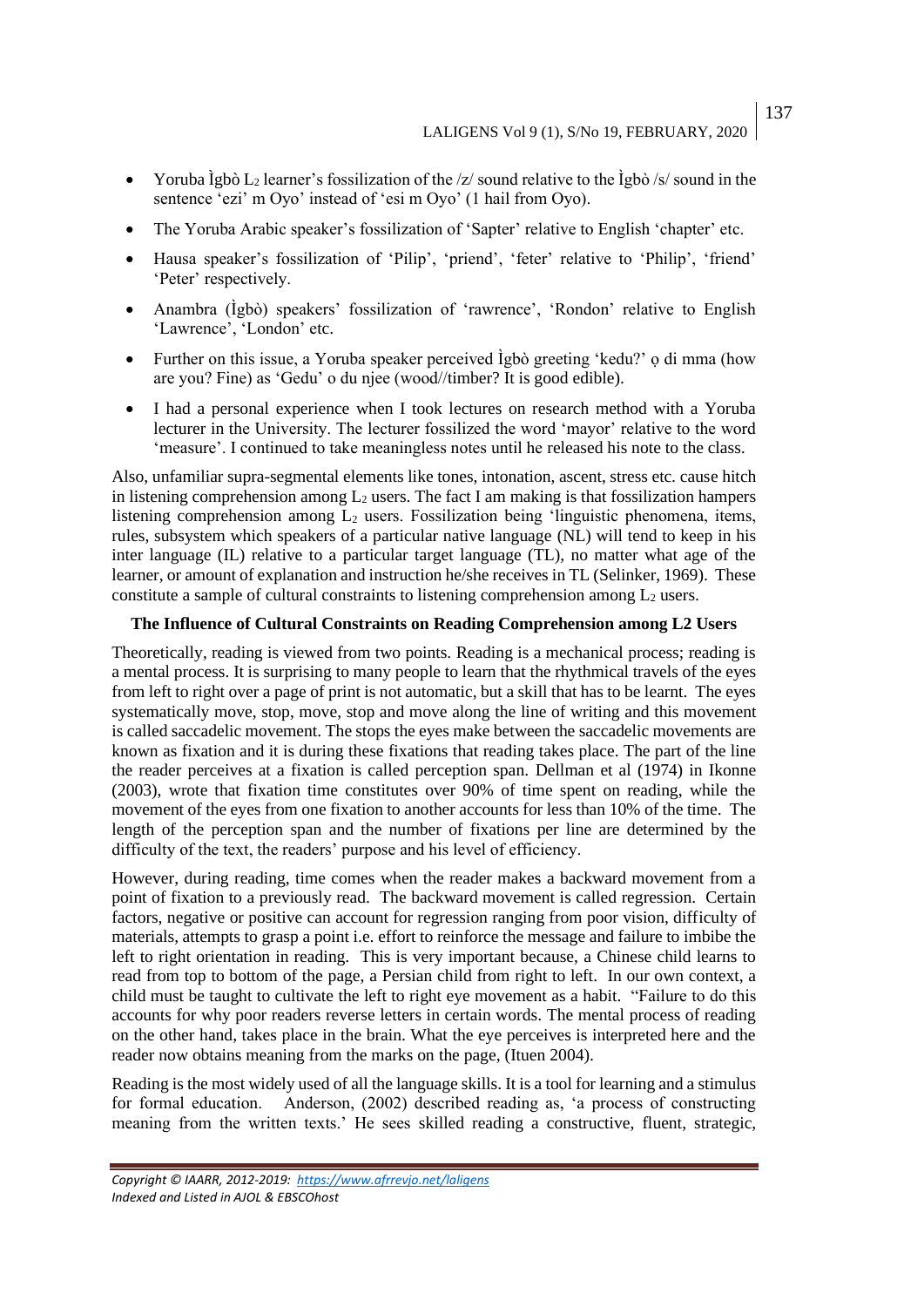- Yoruba Ìgbò L<sub>2</sub> learner's fossilization of the /z/ sound relative to the  $\frac{1}{2}$ gbò /s/ sound in the sentence 'ezi' m Oyo' instead of 'esi m Oyo' (1 hail from Oyo).
- The Yoruba Arabic speaker's fossilization of 'Sapter' relative to English 'chapter' etc.
- Hausa speaker's fossilization of 'Pilip', 'priend', 'feter' relative to 'Philip', 'friend' 'Peter' respectively.
- Anambra (Ìgbò) speakers' fossilization of 'rawrence', 'Rondon' relative to English 'Lawrence', 'London' etc.
- Further on this issue, a Yoruba speaker perceived Ìgbò greeting 'kedu?' ọ di mma (how are you? Fine) as 'Gedu' o du njee (wood//timber? It is good edible).
- I had a personal experience when I took lectures on research method with a Yoruba lecturer in the University. The lecturer fossilized the word 'mayor' relative to the word 'measure'. I continued to take meaningless notes until he released his note to the class.

Also, unfamiliar supra-segmental elements like tones, intonation, ascent, stress etc. cause hitch in listening comprehension among  $L_2$  users. The fact I am making is that fossilization hampers listening comprehension among  $L_2$  users. Fossilization being 'linguistic phenomena, items, rules, subsystem which speakers of a particular native language (NL) will tend to keep in his inter language (IL) relative to a particular target language (TL), no matter what age of the learner, or amount of explanation and instruction he/she receives in TL (Selinker, 1969). These constitute a sample of cultural constraints to listening comprehension among  $L_2$  users.

#### **The Influence of Cultural Constraints on Reading Comprehension among L2 Users**

Theoretically, reading is viewed from two points. Reading is a mechanical process; reading is a mental process. It is surprising to many people to learn that the rhythmical travels of the eyes from left to right over a page of print is not automatic, but a skill that has to be learnt. The eyes systematically move, stop, move, stop and move along the line of writing and this movement is called saccadelic movement. The stops the eyes make between the saccadelic movements are known as fixation and it is during these fixations that reading takes place. The part of the line the reader perceives at a fixation is called perception span. Dellman et al (1974) in Ikonne (2003), wrote that fixation time constitutes over 90% of time spent on reading, while the movement of the eyes from one fixation to another accounts for less than 10% of the time. The length of the perception span and the number of fixations per line are determined by the difficulty of the text, the readers' purpose and his level of efficiency.

However, during reading, time comes when the reader makes a backward movement from a point of fixation to a previously read. The backward movement is called regression. Certain factors, negative or positive can account for regression ranging from poor vision, difficulty of materials, attempts to grasp a point i.e. effort to reinforce the message and failure to imbibe the left to right orientation in reading. This is very important because, a Chinese child learns to read from top to bottom of the page, a Persian child from right to left. In our own context, a child must be taught to cultivate the left to right eye movement as a habit. "Failure to do this accounts for why poor readers reverse letters in certain words. The mental process of reading on the other hand, takes place in the brain. What the eye perceives is interpreted here and the reader now obtains meaning from the marks on the page, (Ituen 2004).

Reading is the most widely used of all the language skills. It is a tool for learning and a stimulus for formal education. Anderson, (2002) described reading as, 'a process of constructing meaning from the written texts.' He sees skilled reading a constructive, fluent, strategic,

*Copyright © IAARR, 2012-2019: <https://www.afrrevjo.net/laligens> Indexed and Listed in AJOL & EBSCOhost*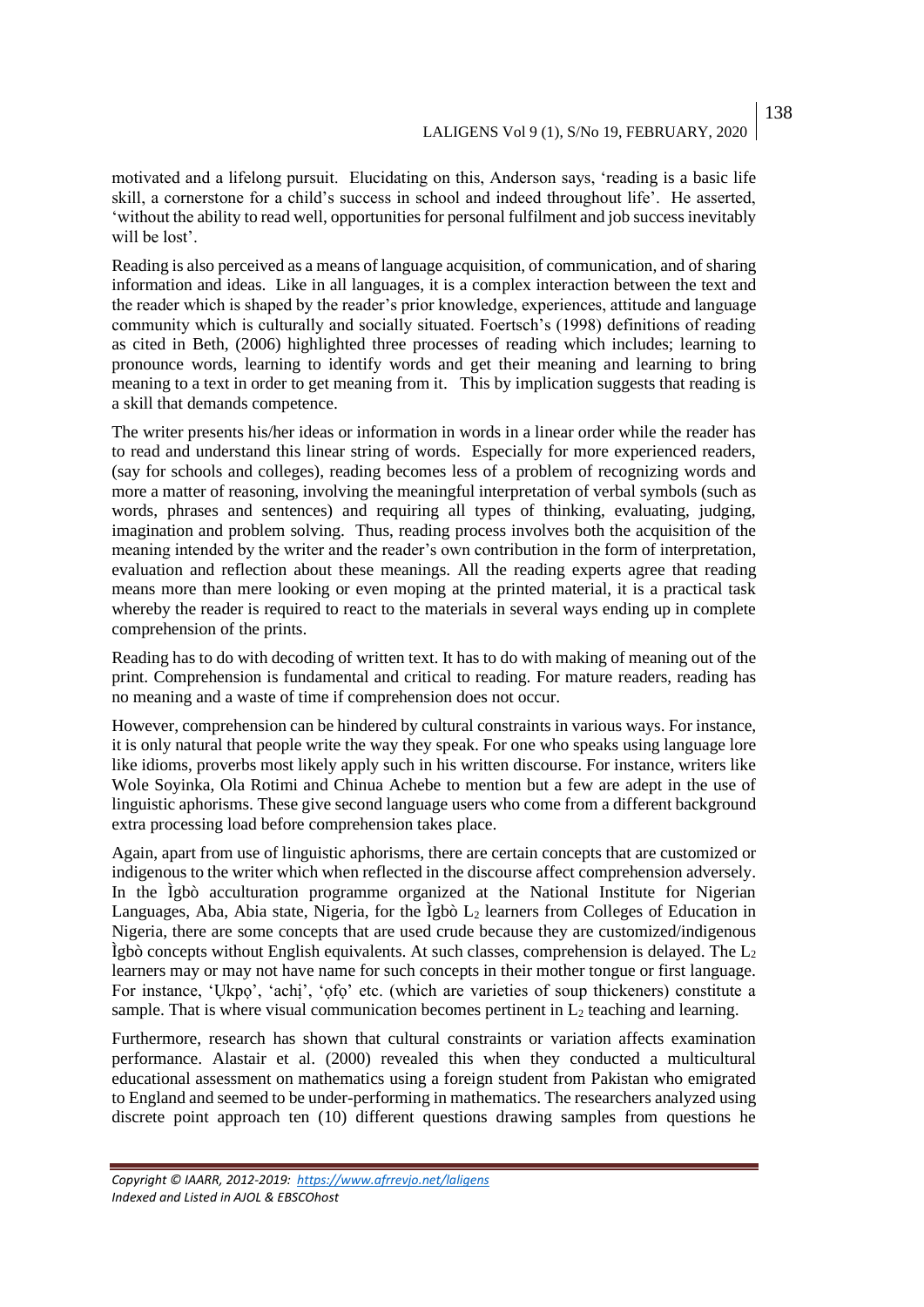138

motivated and a lifelong pursuit. Elucidating on this, Anderson says, 'reading is a basic life skill, a cornerstone for a child's success in school and indeed throughout life'. He asserted, 'without the ability to read well, opportunities for personal fulfilment and job success inevitably will be lost'.

Reading is also perceived as a means of language acquisition, of communication, and of sharing information and ideas. Like in all languages, it is a complex interaction between the text and the reader which is shaped by the reader's prior knowledge, experiences, attitude and language community which is culturally and socially situated. Foertsch's (1998) definitions of reading as cited in Beth, (2006) highlighted three processes of reading which includes; learning to pronounce words, learning to identify words and get their meaning and learning to bring meaning to a text in order to get meaning from it. This by implication suggests that reading is a skill that demands competence.

The writer presents his/her ideas or information in words in a linear order while the reader has to read and understand this linear string of words. Especially for more experienced readers, (say for schools and colleges), reading becomes less of a problem of recognizing words and more a matter of reasoning, involving the meaningful interpretation of verbal symbols (such as words, phrases and sentences) and requiring all types of thinking, evaluating, judging, imagination and problem solving. Thus, reading process involves both the acquisition of the meaning intended by the writer and the reader's own contribution in the form of interpretation, evaluation and reflection about these meanings. All the reading experts agree that reading means more than mere looking or even moping at the printed material, it is a practical task whereby the reader is required to react to the materials in several ways ending up in complete comprehension of the prints.

Reading has to do with decoding of written text. It has to do with making of meaning out of the print. Comprehension is fundamental and critical to reading. For mature readers, reading has no meaning and a waste of time if comprehension does not occur.

However, comprehension can be hindered by cultural constraints in various ways. For instance, it is only natural that people write the way they speak. For one who speaks using language lore like idioms, proverbs most likely apply such in his written discourse. For instance, writers like Wole Soyinka, Ola Rotimi and Chinua Achebe to mention but a few are adept in the use of linguistic aphorisms. These give second language users who come from a different background extra processing load before comprehension takes place.

Again, apart from use of linguistic aphorisms, there are certain concepts that are customized or indigenous to the writer which when reflected in the discourse affect comprehension adversely. In the Ìgbò acculturation programme organized at the National Institute for Nigerian Languages, Aba, Abia state, Nigeria, for the Igbò  $L_2$  learners from Colleges of Education in Nigeria, there are some concepts that are used crude because they are customized/indigenous  $\hat{I}$ gbò concepts without English equivalents. At such classes, comprehension is delayed. The  $L_2$ learners may or may not have name for such concepts in their mother tongue or first language. For instance, 'Ụkpọ', 'achị', 'ọfọ' etc. (which are varieties of soup thickeners) constitute a sample. That is where visual communication becomes pertinent in  $L_2$  teaching and learning.

Furthermore, research has shown that cultural constraints or variation affects examination performance. Alastair et al. (2000) revealed this when they conducted a multicultural educational assessment on mathematics using a foreign student from Pakistan who emigrated to England and seemed to be under-performing in mathematics. The researchers analyzed using discrete point approach ten (10) different questions drawing samples from questions he

*Copyright © IAARR, 2012-2019: <https://www.afrrevjo.net/laligens> Indexed and Listed in AJOL & EBSCOhost*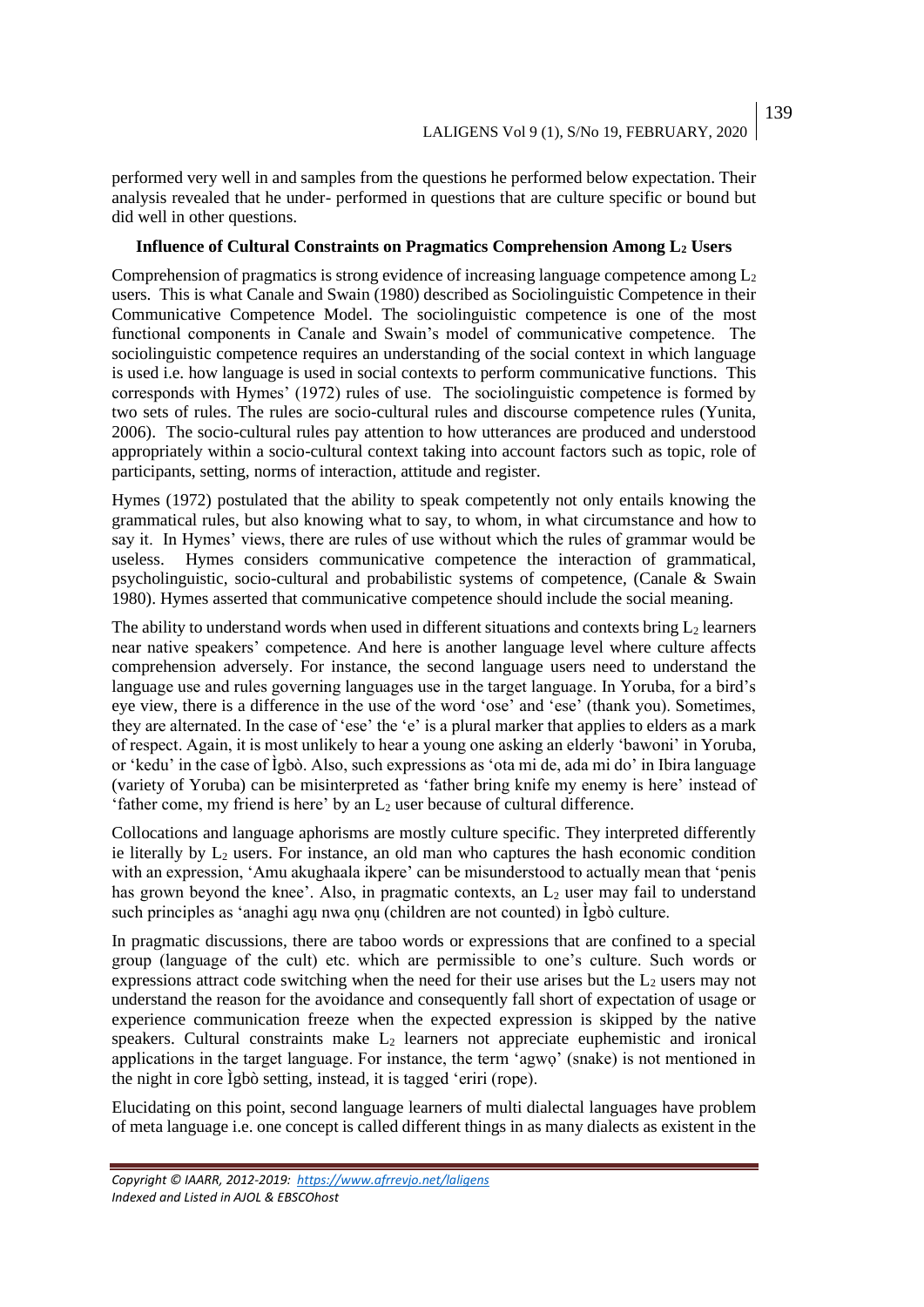performed very well in and samples from the questions he performed below expectation. Their analysis revealed that he under- performed in questions that are culture specific or bound but did well in other questions.

#### **Influence of Cultural Constraints on Pragmatics Comprehension Among L<sup>2</sup> Users**

Comprehension of pragmatics is strong evidence of increasing language competence among  $L_2$ users. This is what Canale and Swain (1980) described as Sociolinguistic Competence in their Communicative Competence Model. The sociolinguistic competence is one of the most functional components in Canale and Swain's model of communicative competence. The sociolinguistic competence requires an understanding of the social context in which language is used i.e. how language is used in social contexts to perform communicative functions. This corresponds with Hymes' (1972) rules of use. The sociolinguistic competence is formed by two sets of rules. The rules are socio-cultural rules and discourse competence rules (Yunita, 2006). The socio-cultural rules pay attention to how utterances are produced and understood appropriately within a socio-cultural context taking into account factors such as topic, role of participants, setting, norms of interaction, attitude and register.

Hymes (1972) postulated that the ability to speak competently not only entails knowing the grammatical rules, but also knowing what to say, to whom, in what circumstance and how to say it. In Hymes' views, there are rules of use without which the rules of grammar would be useless. Hymes considers communicative competence the interaction of grammatical, psycholinguistic, socio-cultural and probabilistic systems of competence, (Canale & Swain 1980). Hymes asserted that communicative competence should include the social meaning.

The ability to understand words when used in different situations and contexts bring  $L_2$  learners near native speakers' competence. And here is another language level where culture affects comprehension adversely. For instance, the second language users need to understand the language use and rules governing languages use in the target language. In Yoruba, for a bird's eye view, there is a difference in the use of the word 'ose' and 'ese' (thank you). Sometimes, they are alternated. In the case of 'ese' the 'e' is a plural marker that applies to elders as a mark of respect. Again, it is most unlikely to hear a young one asking an elderly 'bawoni' in Yoruba, or 'kedu' in the case of Ìgbò. Also, such expressions as 'ota mi de, ada mi do' in Ibira language (variety of Yoruba) can be misinterpreted as 'father bring knife my enemy is here' instead of 'father come, my friend is here' by an  $L_2$  user because of cultural difference.

Collocations and language aphorisms are mostly culture specific. They interpreted differently ie literally by  $L_2$  users. For instance, an old man who captures the hash economic condition with an expression, 'Amu akughaala ikpere' can be misunderstood to actually mean that 'penis has grown beyond the knee'. Also, in pragmatic contexts, an  $L<sub>2</sub>$  user may fail to understand such principles as 'anaghi agụ nwa ọnụ (children are not counted) in Ìgbò culture.

In pragmatic discussions, there are taboo words or expressions that are confined to a special group (language of the cult) etc. which are permissible to one's culture. Such words or expressions attract code switching when the need for their use arises but the  $L<sub>2</sub>$  users may not understand the reason for the avoidance and consequently fall short of expectation of usage or experience communication freeze when the expected expression is skipped by the native speakers. Cultural constraints make  $L_2$  learners not appreciate euphemistic and ironical applications in the target language. For instance, the term 'agwọ' (snake) is not mentioned in the night in core Ìgbò setting, instead, it is tagged 'eriri (rope).

Elucidating on this point, second language learners of multi dialectal languages have problem of meta language i.e. one concept is called different things in as many dialects as existent in the

*Copyright © IAARR, 2012-2019: <https://www.afrrevjo.net/laligens> Indexed and Listed in AJOL & EBSCOhost*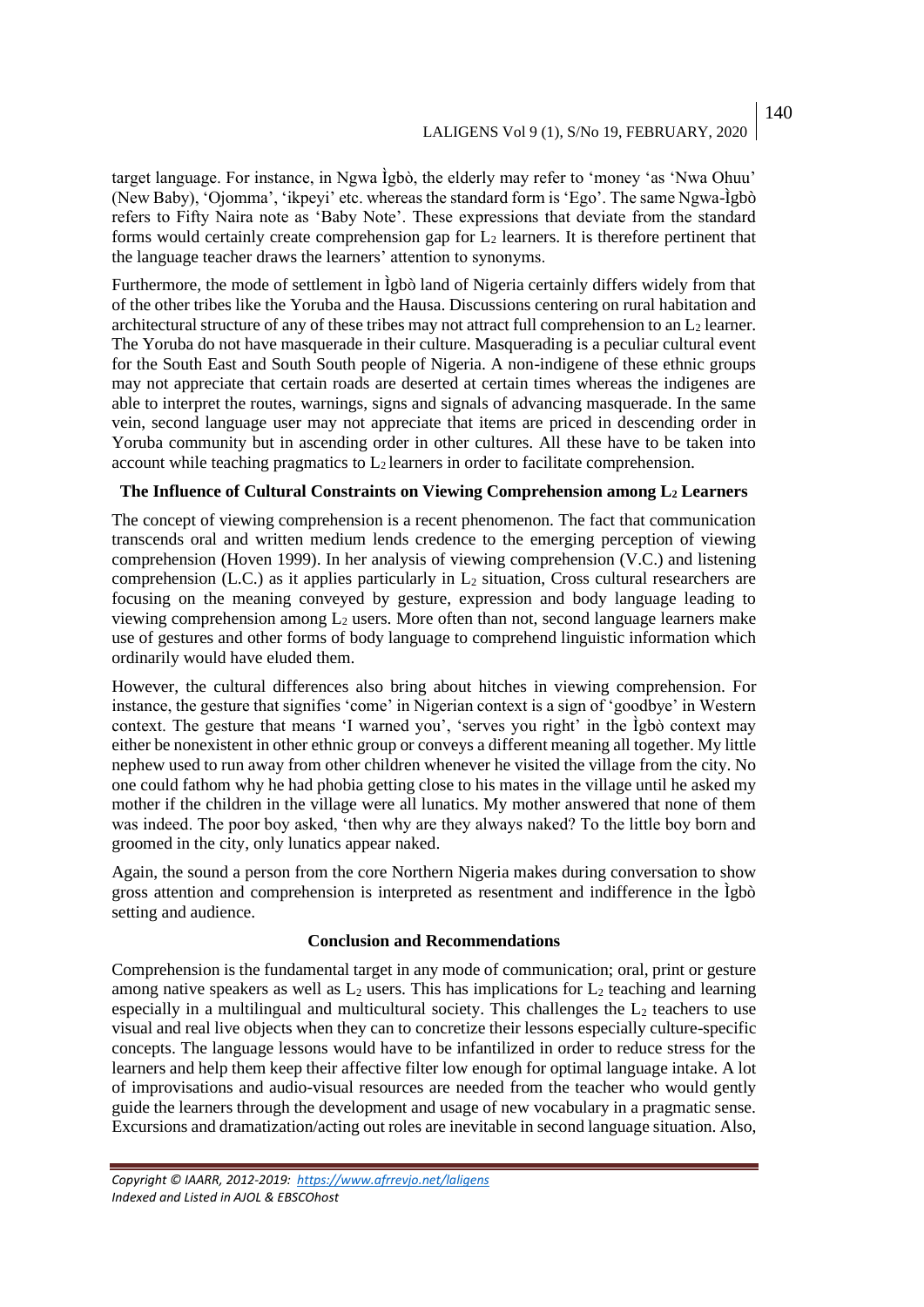target language. For instance, in Ngwa Ìgbò, the elderly may refer to 'money 'as 'Nwa Ohuu' (New Baby), 'Ojomma', 'ikpeyi' etc. whereas the standard form is 'Ego'. The same Ngwa-Ìgbò refers to Fifty Naira note as 'Baby Note'. These expressions that deviate from the standard forms would certainly create comprehension gap for  $L_2$  learners. It is therefore pertinent that the language teacher draws the learners' attention to synonyms.

Furthermore, the mode of settlement in Ìgbò land of Nigeria certainly differs widely from that of the other tribes like the Yoruba and the Hausa. Discussions centering on rural habitation and architectural structure of any of these tribes may not attract full comprehension to an  $L_2$  learner. The Yoruba do not have masquerade in their culture. Masquerading is a peculiar cultural event for the South East and South South people of Nigeria. A non-indigene of these ethnic groups may not appreciate that certain roads are deserted at certain times whereas the indigenes are able to interpret the routes, warnings, signs and signals of advancing masquerade. In the same vein, second language user may not appreciate that items are priced in descending order in Yoruba community but in ascending order in other cultures. All these have to be taken into account while teaching pragmatics to  $L_2$  learners in order to facilitate comprehension.

### **The Influence of Cultural Constraints on Viewing Comprehension among L<sup>2</sup> Learners**

The concept of viewing comprehension is a recent phenomenon. The fact that communication transcends oral and written medium lends credence to the emerging perception of viewing comprehension (Hoven 1999). In her analysis of viewing comprehension (V.C.) and listening comprehension (L.C.) as it applies particularly in  $L_2$  situation, Cross cultural researchers are focusing on the meaning conveyed by gesture, expression and body language leading to viewing comprehension among  $L_2$  users. More often than not, second language learners make use of gestures and other forms of body language to comprehend linguistic information which ordinarily would have eluded them.

However, the cultural differences also bring about hitches in viewing comprehension. For instance, the gesture that signifies 'come' in Nigerian context is a sign of 'goodbye' in Western context. The gesture that means 'I warned you', 'serves you right' in the Ìgbò context may either be nonexistent in other ethnic group or conveys a different meaning all together. My little nephew used to run away from other children whenever he visited the village from the city. No one could fathom why he had phobia getting close to his mates in the village until he asked my mother if the children in the village were all lunatics. My mother answered that none of them was indeed. The poor boy asked, 'then why are they always naked? To the little boy born and groomed in the city, only lunatics appear naked.

Again, the sound a person from the core Northern Nigeria makes during conversation to show gross attention and comprehension is interpreted as resentment and indifference in the Ìgbò setting and audience.

#### **Conclusion and Recommendations**

Comprehension is the fundamental target in any mode of communication; oral, print or gesture among native speakers as well as  $L_2$  users. This has implications for  $L_2$  teaching and learning especially in a multilingual and multicultural society. This challenges the  $L_2$  teachers to use visual and real live objects when they can to concretize their lessons especially culture-specific concepts. The language lessons would have to be infantilized in order to reduce stress for the learners and help them keep their affective filter low enough for optimal language intake. A lot of improvisations and audio-visual resources are needed from the teacher who would gently guide the learners through the development and usage of new vocabulary in a pragmatic sense. Excursions and dramatization/acting out roles are inevitable in second language situation. Also,